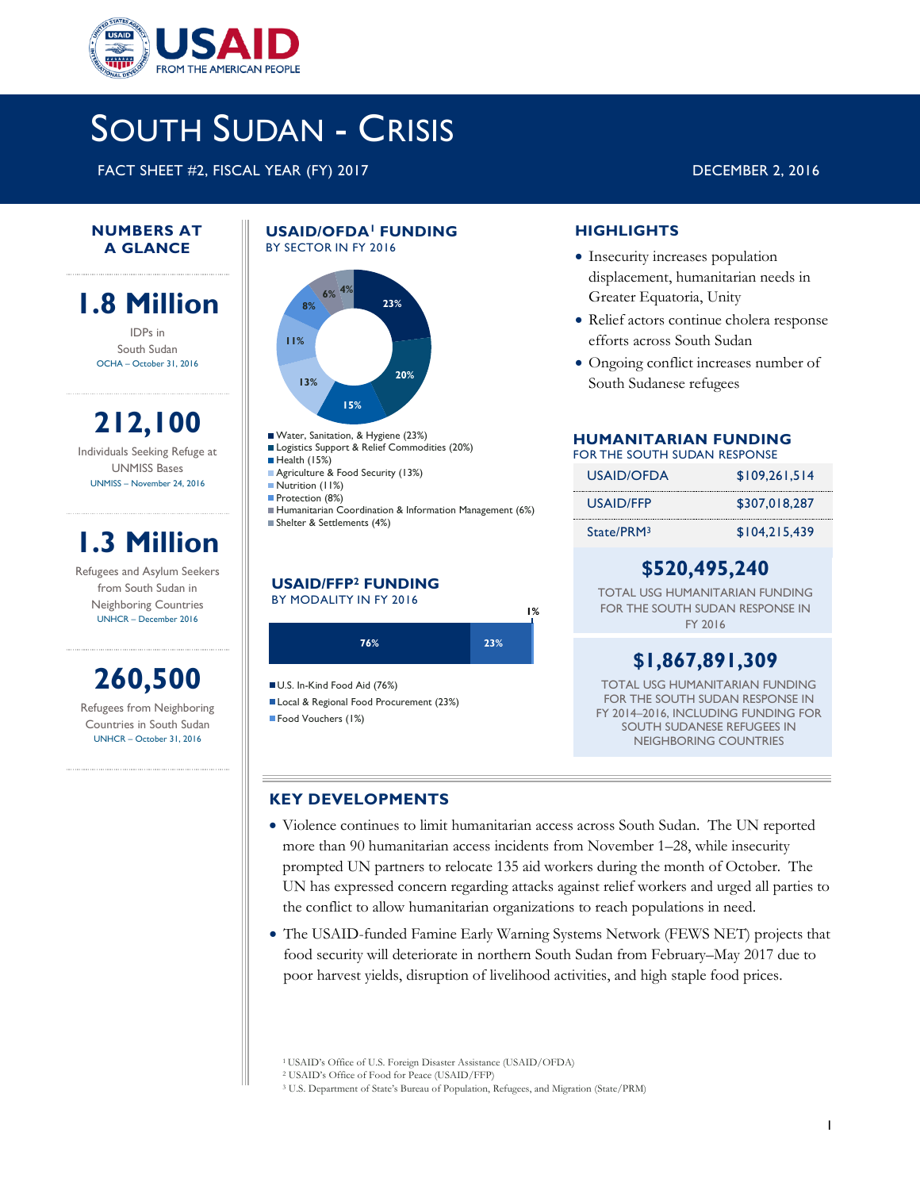

# SOUTH SUDAN - CRISIS

FACT SHEET #2, FISCAL YEAR (FY) 2017 DECEMBER 2, 2016

### **NUMBERS AT A GLANCE**

## **1.8 Million**

IDPs in South Sudan OCHA – October 31, 2016

**212,100** Individuals Seeking Refuge at UNMISS Bases UNMISS – November 24, 2016

## **1.3 Million**

Refugees and Asylum Seekers from South Sudan in Neighboring Countries UNHCR – December 2016

## **260,500**

Refugees from Neighboring Countries in South Sudan UNHCR – October 31, 2016

### **USAID/OFDA<sup>1</sup>FUNDING**  BY SECTOR IN FY 2016



- Water, Sanitation, & Hygiene (23%)
- Logistics Support & Relief Commodities (20%)
- Health (15%)
	- Agriculture & Food Security (13%) Nutrition (11%)
- Protection (8%)
- Humanitarian Coordination & Information Management (6%) Shelter & Settlements (4%)

### **USAID/FFP<sup>2</sup> FUNDING** BY MODALITY IN FY 2016



U.S. In-Kind Food Aid (76%)

Local & Regional Food Procurement (23%)

Food Vouchers (1%)

### **HIGHLIGHTS**

- Insecurity increases population displacement, humanitarian needs in Greater Equatoria, Unity
- Relief actors continue cholera response efforts across South Sudan
- Ongoing conflict increases number of South Sudanese refugees

### **HUMANITARIAN FUNDING**

### FOR THE SOUTH SUDAN RESPONSE

| USAID/OFDA             | \$109.261.514 |
|------------------------|---------------|
| USAID/FFP              | \$307.018.287 |
| State/PRM <sub>3</sub> | \$104,215,439 |

### **\$520,495,240**

TOTAL USG HUMANITARIAN FUNDING FOR THE SOUTH SUDAN RESPONSE IN FY 2016

## **\$1,867,891,309**

TOTAL USG HUMANITARIAN FUNDING FOR THE SOUTH SUDAN RESPONSE IN FY 2014–2016, INCLUDING FUNDING FOR SOUTH SUDANESE REFUGEES IN NEIGHBORING COUNTRIES

### **KEY DEVELOPMENTS**

- Violence continues to limit humanitarian access across South Sudan. The UN reported more than 90 humanitarian access incidents from November 1–28, while insecurity prompted UN partners to relocate 135 aid workers during the month of October. The UN has expressed concern regarding attacks against relief workers and urged all parties to the conflict to allow humanitarian organizations to reach populations in need.
- The USAID-funded Famine Early Warning Systems Network (FEWS NET) projects that food security will deteriorate in northern South Sudan from February–May 2017 due to poor harvest yields, disruption of livelihood activities, and high staple food prices.

<sup>1</sup>USAID's Office of U.S. Foreign Disaster Assistance (USAID/OFDA)

<sup>2</sup> USAID's Office of Food for Peace (USAID/FFP)

<sup>3</sup> U.S. Department of State's Bureau of Population, Refugees, and Migration (State/PRM)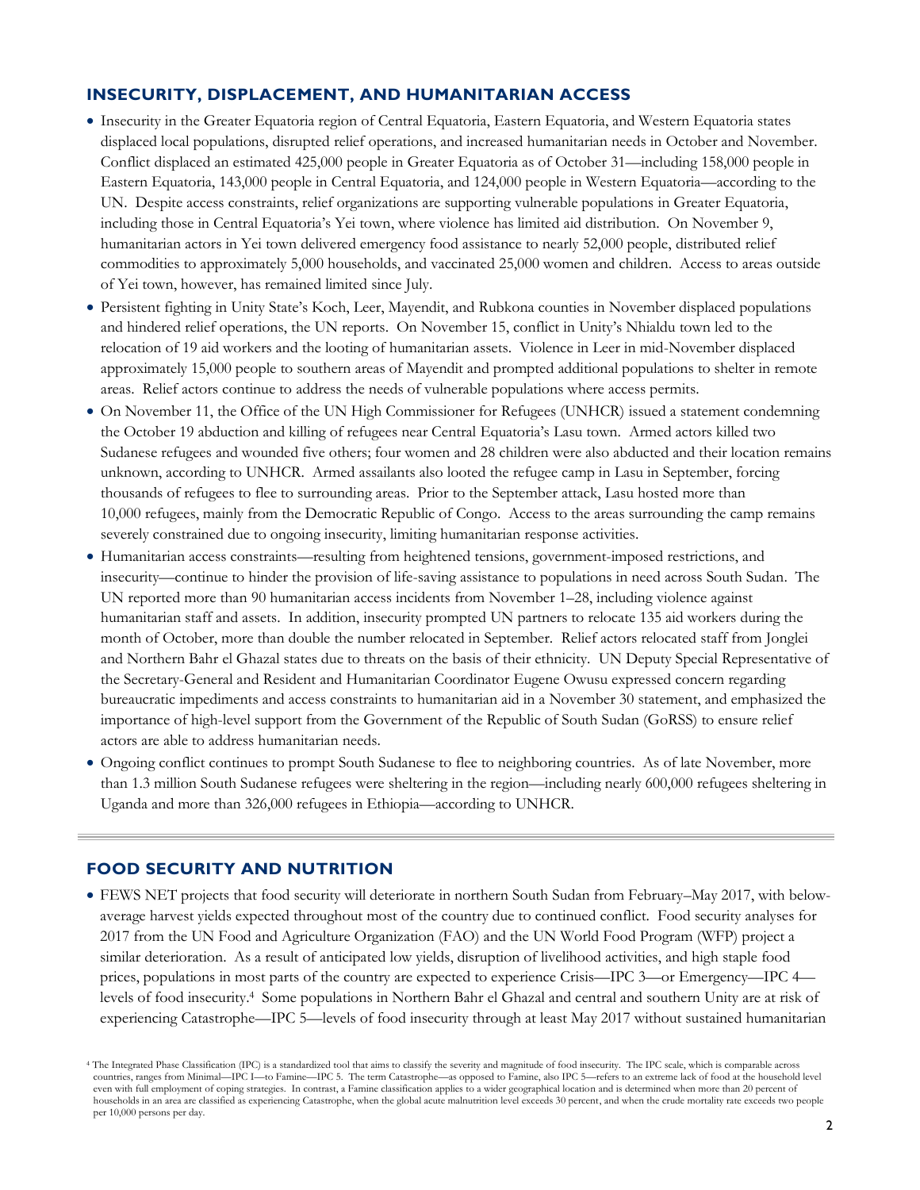### **INSECURITY, DISPLACEMENT, AND HUMANITARIAN ACCESS**

- Insecurity in the Greater Equatoria region of Central Equatoria, Eastern Equatoria, and Western Equatoria states displaced local populations, disrupted relief operations, and increased humanitarian needs in October and November. Conflict displaced an estimated 425,000 people in Greater Equatoria as of October 31—including 158,000 people in Eastern Equatoria, 143,000 people in Central Equatoria, and 124,000 people in Western Equatoria—according to the UN. Despite access constraints, relief organizations are supporting vulnerable populations in Greater Equatoria, including those in Central Equatoria's Yei town, where violence has limited aid distribution. On November 9, humanitarian actors in Yei town delivered emergency food assistance to nearly 52,000 people, distributed relief commodities to approximately 5,000 households, and vaccinated 25,000 women and children. Access to areas outside of Yei town, however, has remained limited since July.
- Persistent fighting in Unity State's Koch, Leer, Mayendit, and Rubkona counties in November displaced populations and hindered relief operations, the UN reports. On November 15, conflict in Unity's Nhialdu town led to the relocation of 19 aid workers and the looting of humanitarian assets. Violence in Leer in mid-November displaced approximately 15,000 people to southern areas of Mayendit and prompted additional populations to shelter in remote areas. Relief actors continue to address the needs of vulnerable populations where access permits.
- On November 11, the Office of the UN High Commissioner for Refugees (UNHCR) issued a statement condemning the October 19 abduction and killing of refugees near Central Equatoria's Lasu town. Armed actors killed two Sudanese refugees and wounded five others; four women and 28 children were also abducted and their location remains unknown, according to UNHCR. Armed assailants also looted the refugee camp in Lasu in September, forcing thousands of refugees to flee to surrounding areas. Prior to the September attack, Lasu hosted more than 10,000 refugees, mainly from the Democratic Republic of Congo. Access to the areas surrounding the camp remains severely constrained due to ongoing insecurity, limiting humanitarian response activities.
- Humanitarian access constraints—resulting from heightened tensions, government-imposed restrictions, and insecurity—continue to hinder the provision of life-saving assistance to populations in need across South Sudan. The UN reported more than 90 humanitarian access incidents from November 1–28, including violence against humanitarian staff and assets. In addition, insecurity prompted UN partners to relocate 135 aid workers during the month of October, more than double the number relocated in September. Relief actors relocated staff from Jonglei and Northern Bahr el Ghazal states due to threats on the basis of their ethnicity. UN Deputy Special Representative of the Secretary-General and Resident and Humanitarian Coordinator Eugene Owusu expressed concern regarding bureaucratic impediments and access constraints to humanitarian aid in a November 30 statement, and emphasized the importance of high-level support from the Government of the Republic of South Sudan (GoRSS) to ensure relief actors are able to address humanitarian needs.
- Ongoing conflict continues to prompt South Sudanese to flee to neighboring countries. As of late November, more than 1.3 million South Sudanese refugees were sheltering in the region—including nearly 600,000 refugees sheltering in Uganda and more than 326,000 refugees in Ethiopia—according to UNHCR.

### **FOOD SECURITY AND NUTRITION**

 FEWS NET projects that food security will deteriorate in northern South Sudan from February–May 2017, with belowaverage harvest yields expected throughout most of the country due to continued conflict. Food security analyses for 2017 from the UN Food and Agriculture Organization (FAO) and the UN World Food Program (WFP) project a similar deterioration. As a result of anticipated low yields, disruption of livelihood activities, and high staple food prices, populations in most parts of the country are expected to experience Crisis—IPC 3—or Emergency—IPC 4 levels of food insecurity. <sup>4</sup> Some populations in Northern Bahr el Ghazal and central and southern Unity are at risk of experiencing Catastrophe—IPC 5—levels of food insecurity through at least May 2017 without sustained humanitarian

<sup>4</sup> The Integrated Phase Classification (IPC) is a standardized tool that aims to classify the severity and magnitude of food insecurity. The IPC scale, which is comparable across countries, ranges from Minimal—IPC I—to Famine—IPC 5. The term Catastrophe—as opposed to Famine, also IPC 5—refers to an extreme lack of food at the household level even with full employment of coping strategies. In contrast, a Famine classification applies to a wider geographical location and is determined when more than 20 percent of households in an area are classified as experiencing Catastrophe, when the global acute malnutrition level exceeds 30 percent, and when the crude mortality rate exceeds two people per 10,000 persons per day.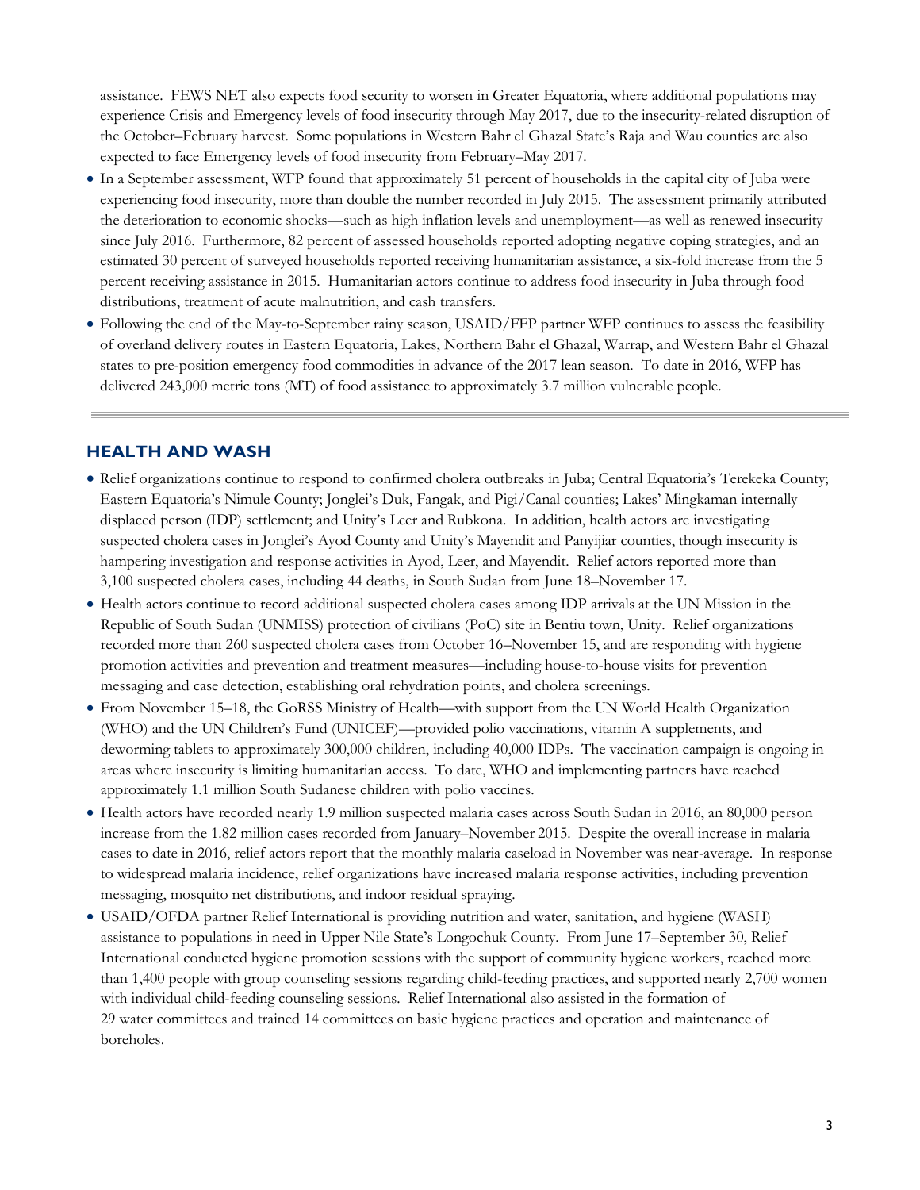assistance. FEWS NET also expects food security to worsen in Greater Equatoria, where additional populations may experience Crisis and Emergency levels of food insecurity through May 2017, due to the insecurity-related disruption of the October–February harvest. Some populations in Western Bahr el Ghazal State's Raja and Wau counties are also expected to face Emergency levels of food insecurity from February–May 2017.

- In a September assessment, WFP found that approximately 51 percent of households in the capital city of Juba were experiencing food insecurity, more than double the number recorded in July 2015. The assessment primarily attributed the deterioration to economic shocks—such as high inflation levels and unemployment—as well as renewed insecurity since July 2016. Furthermore, 82 percent of assessed households reported adopting negative coping strategies, and an estimated 30 percent of surveyed households reported receiving humanitarian assistance, a six-fold increase from the 5 percent receiving assistance in 2015. Humanitarian actors continue to address food insecurity in Juba through food distributions, treatment of acute malnutrition, and cash transfers.
- Following the end of the May-to-September rainy season, USAID/FFP partner WFP continues to assess the feasibility of overland delivery routes in Eastern Equatoria, Lakes, Northern Bahr el Ghazal, Warrap, and Western Bahr el Ghazal states to pre-position emergency food commodities in advance of the 2017 lean season. To date in 2016, WFP has delivered 243,000 metric tons (MT) of food assistance to approximately 3.7 million vulnerable people.

### **HEALTH AND WASH**

- Relief organizations continue to respond to confirmed cholera outbreaks in Juba; Central Equatoria's Terekeka County; Eastern Equatoria's Nimule County; Jonglei's Duk, Fangak, and Pigi/Canal counties; Lakes' Mingkaman internally displaced person (IDP) settlement; and Unity's Leer and Rubkona. In addition, health actors are investigating suspected cholera cases in Jonglei's Ayod County and Unity's Mayendit and Panyijiar counties, though insecurity is hampering investigation and response activities in Ayod, Leer, and Mayendit. Relief actors reported more than 3,100 suspected cholera cases, including 44 deaths, in South Sudan from June 18–November 17.
- Health actors continue to record additional suspected cholera cases among IDP arrivals at the UN Mission in the Republic of South Sudan (UNMISS) protection of civilians (PoC) site in Bentiu town, Unity. Relief organizations recorded more than 260 suspected cholera cases from October 16–November 15, and are responding with hygiene promotion activities and prevention and treatment measures—including house-to-house visits for prevention messaging and case detection, establishing oral rehydration points, and cholera screenings.
- From November 15–18, the GoRSS Ministry of Health—with support from the UN World Health Organization (WHO) and the UN Children's Fund (UNICEF)—provided polio vaccinations, vitamin A supplements, and deworming tablets to approximately 300,000 children, including 40,000 IDPs. The vaccination campaign is ongoing in areas where insecurity is limiting humanitarian access. To date, WHO and implementing partners have reached approximately 1.1 million South Sudanese children with polio vaccines.
- Health actors have recorded nearly 1.9 million suspected malaria cases across South Sudan in 2016, an 80,000 person increase from the 1.82 million cases recorded from January–November 2015. Despite the overall increase in malaria cases to date in 2016, relief actors report that the monthly malaria caseload in November was near-average. In response to widespread malaria incidence, relief organizations have increased malaria response activities, including prevention messaging, mosquito net distributions, and indoor residual spraying.
- USAID/OFDA partner Relief International is providing nutrition and water, sanitation, and hygiene (WASH) assistance to populations in need in Upper Nile State's Longochuk County. From June 17–September 30, Relief International conducted hygiene promotion sessions with the support of community hygiene workers, reached more than 1,400 people with group counseling sessions regarding child-feeding practices, and supported nearly 2,700 women with individual child-feeding counseling sessions. Relief International also assisted in the formation of 29 water committees and trained 14 committees on basic hygiene practices and operation and maintenance of boreholes.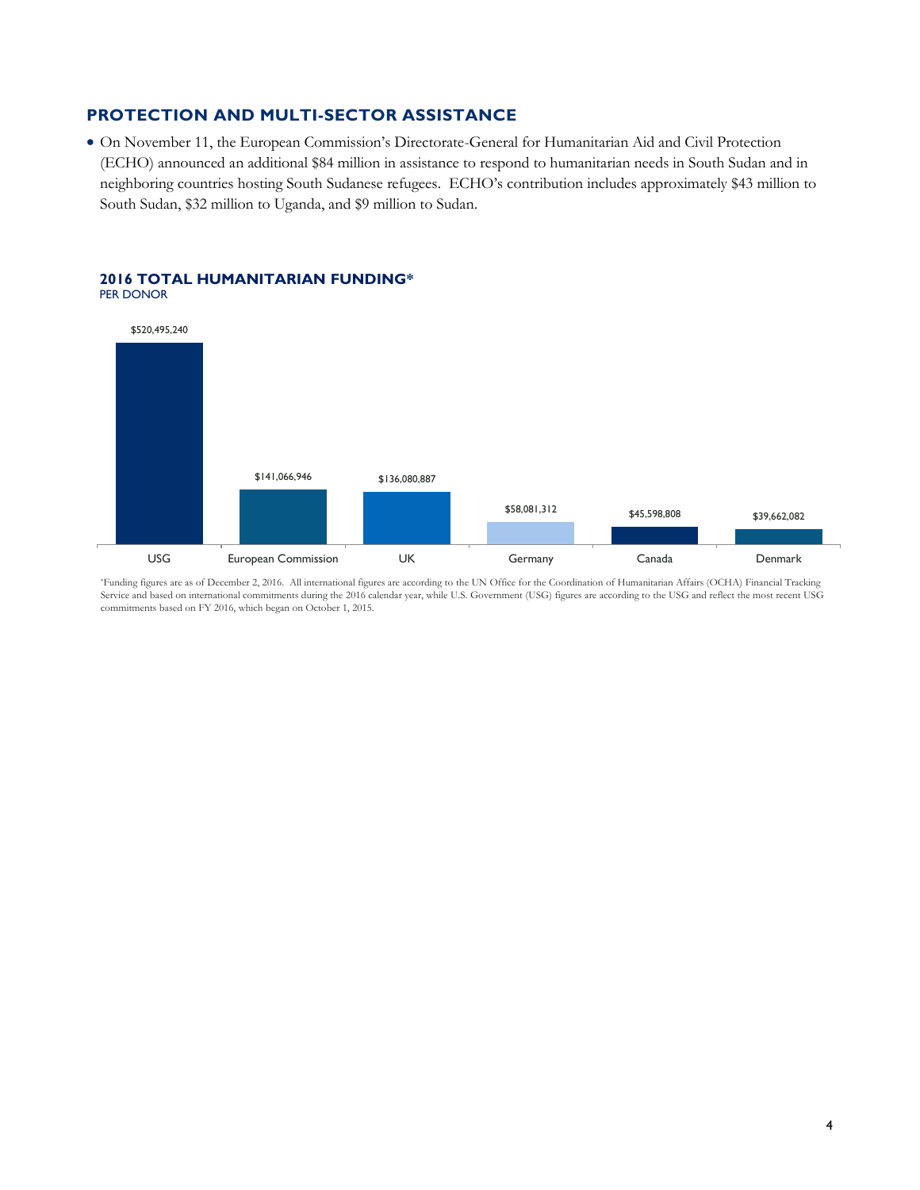### **PROTECTION AND MULTI-SECTOR ASSISTANCE**

 On November 11, the European Commission's Directorate-General for Humanitarian Aid and Civil Protection (ECHO) announced an additional \$84 million in assistance to respond to humanitarian needs in South Sudan and in neighboring countries hosting South Sudanese refugees. ECHO's contribution includes approximately \$43 million to South Sudan, \$32 million to Uganda, and \$9 million to Sudan.



#### **2016 TOTAL HUMANITARIAN FUNDING\***  PER DONOR

\*Funding figures are as of December 2, 2016. All international figures are according to the UN Office for the Coordination of Humanitarian Affairs (OCHA) Financial Tracking Service and based on international commitments during the 2016 calendar year, while U.S. Government (USG) figures are according to the USG and reflect the most recent USG commitments based on FY 2016, which began on October 1, 2015.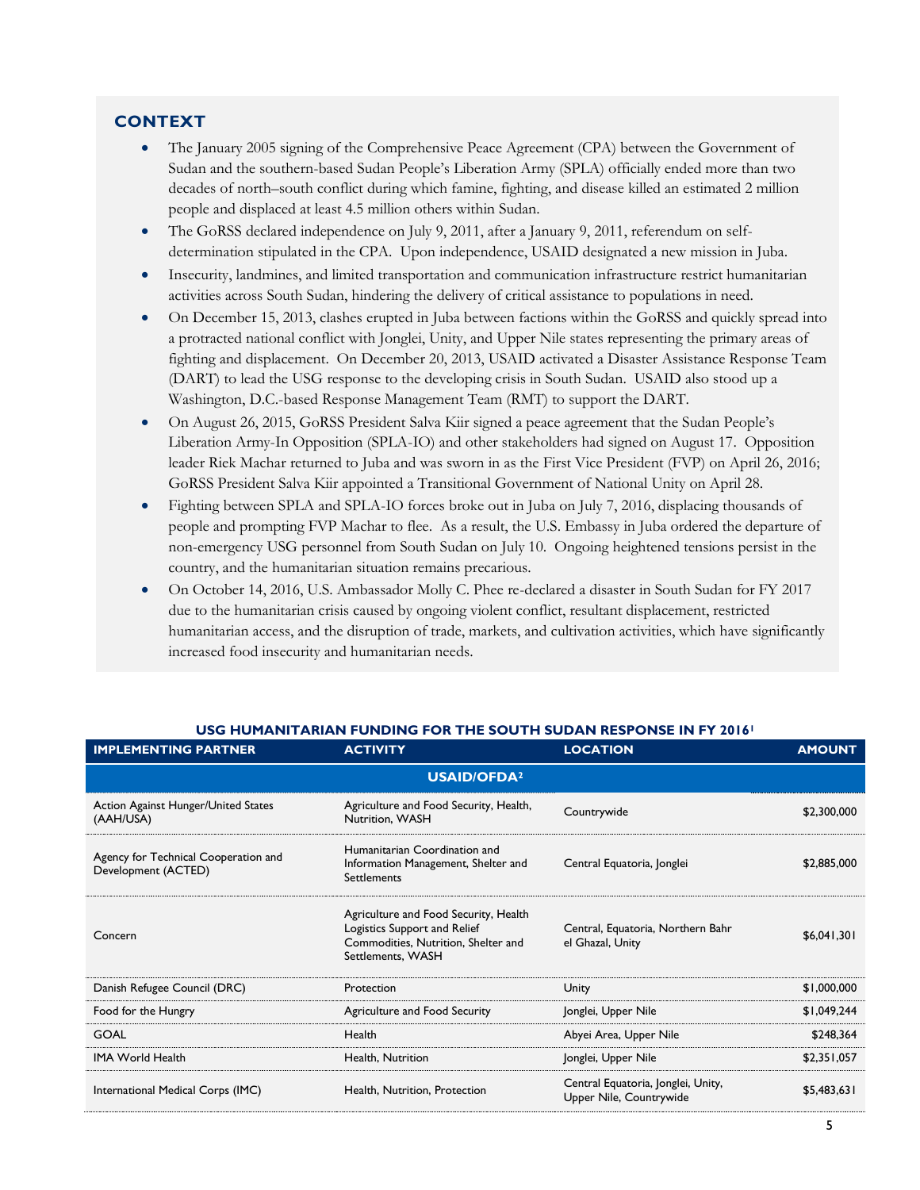### **CONTEXT**

- The January 2005 signing of the Comprehensive Peace Agreement (CPA) between the Government of Sudan and the southern-based Sudan People's Liberation Army (SPLA) officially ended more than two decades of north–south conflict during which famine, fighting, and disease killed an estimated 2 million people and displaced at least 4.5 million others within Sudan.
- The GoRSS declared independence on July 9, 2011, after a January 9, 2011, referendum on selfdetermination stipulated in the CPA. Upon independence, USAID designated a new mission in Juba.
- Insecurity, landmines, and limited transportation and communication infrastructure restrict humanitarian activities across South Sudan, hindering the delivery of critical assistance to populations in need.
- On December 15, 2013, clashes erupted in Juba between factions within the GoRSS and quickly spread into a protracted national conflict with Jonglei, Unity, and Upper Nile states representing the primary areas of fighting and displacement. On December 20, 2013, USAID activated a Disaster Assistance Response Team (DART) to lead the USG response to the developing crisis in South Sudan. USAID also stood up a Washington, D.C.-based Response Management Team (RMT) to support the DART.
- On August 26, 2015, GoRSS President Salva Kiir signed a peace agreement that the Sudan People's Liberation Army-In Opposition (SPLA-IO) and other stakeholders had signed on August 17. Opposition leader Riek Machar returned to Juba and was sworn in as the First Vice President (FVP) on April 26, 2016; GoRSS President Salva Kiir appointed a Transitional Government of National Unity on April 28.
- Fighting between SPLA and SPLA-IO forces broke out in Juba on July 7, 2016, displacing thousands of people and prompting FVP Machar to flee. As a result, the U.S. Embassy in Juba ordered the departure of non-emergency USG personnel from South Sudan on July 10. Ongoing heightened tensions persist in the country, and the humanitarian situation remains precarious.
- On October 14, 2016, U.S. Ambassador Molly C. Phee re-declared a disaster in South Sudan for FY 2017 due to the humanitarian crisis caused by ongoing violent conflict, resultant displacement, restricted humanitarian access, and the disruption of trade, markets, and cultivation activities, which have significantly increased food insecurity and humanitarian needs.

| <b>IMPLEMENTING PARTNER</b>                                 | <b>ACTIVITY</b>                                                                                                                   | <b>LOCATION</b>                                               | <b>AMOUNT</b> |
|-------------------------------------------------------------|-----------------------------------------------------------------------------------------------------------------------------------|---------------------------------------------------------------|---------------|
| <b>USAID/OFDA<sup>2</sup></b>                               |                                                                                                                                   |                                                               |               |
| Action Against Hunger/United States<br>(AAH/USA)            | Agriculture and Food Security, Health,<br>Nutrition, WASH                                                                         | Countrywide                                                   | \$2,300,000   |
| Agency for Technical Cooperation and<br>Development (ACTED) | Humanitarian Coordination and<br>Information Management, Shelter and<br><b>Settlements</b>                                        | Central Equatoria, Jonglei                                    | \$2,885,000   |
| Concern                                                     | Agriculture and Food Security, Health<br>Logistics Support and Relief<br>Commodities, Nutrition, Shelter and<br>Settlements, WASH | Central, Equatoria, Northern Bahr<br>el Ghazal, Unity         | \$6,041,301   |
| Danish Refugee Council (DRC)                                | Protection                                                                                                                        | Unity                                                         | \$1,000,000   |
| Food for the Hungry                                         | Agriculture and Food Security                                                                                                     | Jonglei, Upper Nile                                           | \$1,049,244   |
| <b>GOAL</b>                                                 | Health                                                                                                                            | Abyei Area, Upper Nile                                        | \$248,364     |
| <b>IMA World Health</b>                                     | Health, Nutrition                                                                                                                 | Jonglei, Upper Nile                                           | \$2,351,057   |
| International Medical Corps (IMC)                           | Health, Nutrition, Protection                                                                                                     | Central Equatoria, Jonglei, Unity,<br>Upper Nile, Countrywide | \$5,483,631   |

### **USG HUMANITARIAN FUNDING FOR THE SOUTH SUDAN RESPONSE IN FY 2016<sup>1</sup>**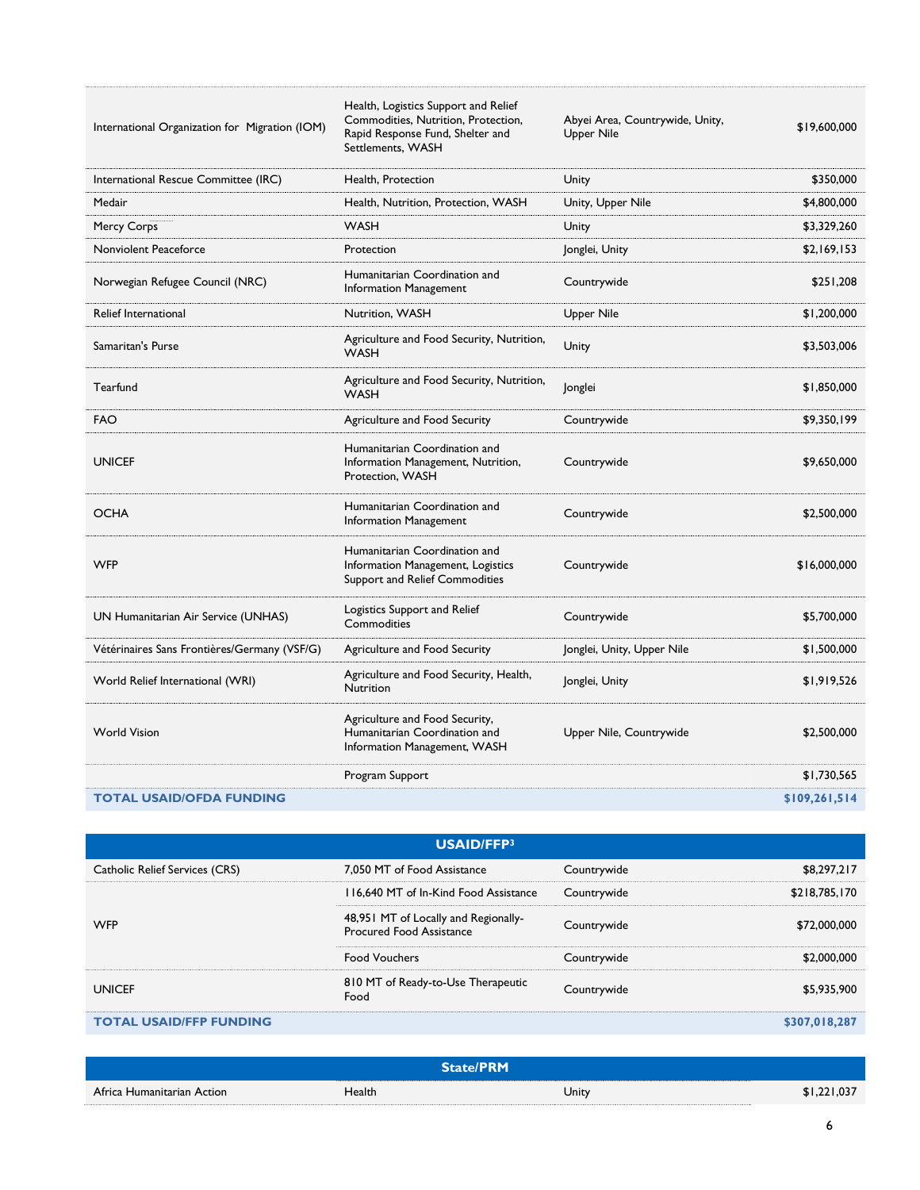International Organization for Migration (IOM)

Health, Logistics Support and Relief Commodities, Nutrition, Protection, Rapid Response Fund, Shelter and Settlements, WASH

Abyei Area, Countrywide, Unity, Upper Nile \$19,600,000

| International Rescue Committee (IRC)         | Health, Protection                                                                                   | Unity                      | \$350,000     |
|----------------------------------------------|------------------------------------------------------------------------------------------------------|----------------------------|---------------|
| Medair                                       | Health, Nutrition, Protection, WASH                                                                  | Unity, Upper Nile          | \$4,800,000   |
| Mercy Corps                                  | <b>WASH</b>                                                                                          | Unity                      | \$3,329,260   |
| Nonviolent Peaceforce                        | Protection                                                                                           | Jonglei, Unity             | \$2,169,153   |
| Norwegian Refugee Council (NRC)              | Humanitarian Coordination and<br>Information Management                                              | Countrywide                | \$251,208     |
| <b>Relief International</b>                  | Nutrition, WASH                                                                                      | Upper Nile                 | \$1,200,000   |
| Samaritan's Purse                            | Agriculture and Food Security, Nutrition,<br><b>WASH</b>                                             | Unity                      | \$3,503,006   |
| Tearfund                                     | Agriculture and Food Security, Nutrition,<br><b>WASH</b>                                             | Jonglei                    | \$1,850,000   |
| <b>FAO</b>                                   | Agriculture and Food Security                                                                        | Countrywide                | \$9,350,199   |
| <b>UNICEF</b>                                | Humanitarian Coordination and<br>Information Management, Nutrition,<br>Protection, WASH              | Countrywide                | \$9,650,000   |
| <b>OCHA</b>                                  | Humanitarian Coordination and<br>Information Management                                              | Countrywide                | \$2,500,000   |
| <b>WFP</b>                                   | Humanitarian Coordination and<br>Information Management, Logistics<br>Support and Relief Commodities | Countrywide                | \$16,000,000  |
| UN Humanitarian Air Service (UNHAS)          | Logistics Support and Relief<br>Commodities                                                          | Countrywide                | \$5,700,000   |
| Vétérinaires Sans Frontières/Germany (VSF/G) | Agriculture and Food Security                                                                        | Jonglei, Unity, Upper Nile | \$1,500,000   |
| World Relief International (WRI)             | Agriculture and Food Security, Health,<br>Nutrition                                                  | Jonglei, Unity             | \$1,919,526   |
| <b>World Vision</b>                          | Agriculture and Food Security,<br>Humanitarian Coordination and<br>Information Management, WASH      | Upper Nile, Countrywide    | \$2,500,000   |
|                                              | Program Support                                                                                      |                            | \$1,730,565   |
| <b>TOTAL USAID/OFDA FUNDING</b>              |                                                                                                      |                            | \$109,261,514 |

| USAID/FFP3                     |                                                                         |             |               |
|--------------------------------|-------------------------------------------------------------------------|-------------|---------------|
| Catholic Relief Services (CRS) | 7.050 MT of Food Assistance                                             | Countrywide | \$8,297,217   |
| <b>WFP</b>                     | 116,640 MT of In-Kind Food Assistance                                   | Countrywide | \$218,785,170 |
|                                | 48,951 MT of Locally and Regionally-<br><b>Procured Food Assistance</b> | Countrywide | \$72,000,000  |
|                                | <b>Food Vouchers</b>                                                    | Countrywide | \$2,000,000   |
| <b>UNICEF</b>                  | 810 MT of Ready-to-Use Therapeutic<br>Food                              | Countrywide | \$5,935,900   |
| <b>TOTAL USAID/FFP FUNDING</b> |                                                                         |             | \$307,018,287 |

| <b>State/PRM</b>           |        |       |             |
|----------------------------|--------|-------|-------------|
| Africa Humanitarian Action | Health | Unity | \$1,221,037 |